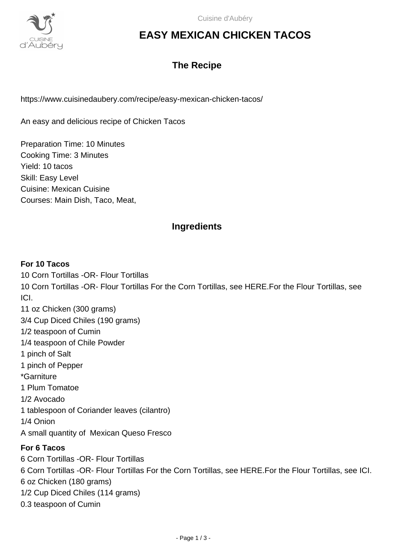

# **EASY MEXICAN CHICKEN TACOS**

# **The Recipe**

https://www.cuisinedaubery.com/recipe/easy-mexican-chicken-tacos/

An easy and delicious recipe of Chicken Tacos

Preparation Time: 10 Minutes Cooking Time: 3 Minutes Yield: 10 tacos Skill: Easy Level Cuisine: Mexican Cuisine Courses: Main Dish, Taco, Meat,

# **Ingredients**

#### **For 10 Tacos**

10 Corn Tortillas -OR- Flour Tortillas 10 Corn Tortillas -OR- Flour Tortillas For the Corn Tortillas, see HERE.For the Flour Tortillas, see ICI. 11 oz Chicken (300 grams) 3/4 Cup Diced Chiles (190 grams) 1/2 teaspoon of Cumin 1/4 teaspoon of Chile Powder 1 pinch of Salt 1 pinch of Pepper

\*Garniture

1 Plum Tomatoe

1/2 Avocado

1 tablespoon of Coriander leaves (cilantro)

1/4 Onion

A small quantity of Mexican Queso Fresco

### **For 6 Tacos**

6 Corn Tortillas -OR- Flour Tortillas 6 Corn Tortillas -OR- Flour Tortillas For the Corn Tortillas, see HERE.For the Flour Tortillas, see ICI. 6 oz Chicken (180 grams) 1/2 Cup Diced Chiles (114 grams) 0.3 teaspoon of Cumin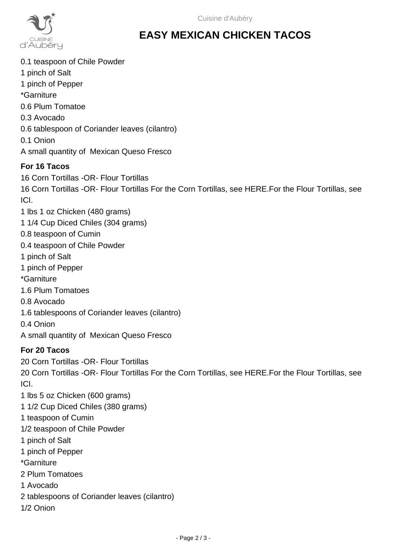

# **EASY MEXICAN CHICKEN TACOS**

0.1 teaspoon of Chile Powder 1 pinch of Salt 1 pinch of Pepper \*Garniture 0.6 Plum Tomatoe 0.3 Avocado 0.6 tablespoon of Coriander leaves (cilantro) 0.1 Onion A small quantity of Mexican Queso Fresco

## **For 16 Tacos**

16 Corn Tortillas -OR- Flour Tortillas 16 Corn Tortillas -OR- Flour Tortillas For the Corn Tortillas, see HERE.For the Flour Tortillas, see ICI.

- 1 lbs 1 oz Chicken (480 grams)
- 1 1/4 Cup Diced Chiles (304 grams)
- 0.8 teaspoon of Cumin
- 0.4 teaspoon of Chile Powder
- 1 pinch of Salt
- 1 pinch of Pepper
- \*Garniture
- 1.6 Plum Tomatoes
- 0.8 Avocado
- 1.6 tablespoons of Coriander leaves (cilantro)
- 0.4 Onion
- A small quantity of Mexican Queso Fresco

### **For 20 Tacos**

20 Corn Tortillas -OR- Flour Tortillas

20 Corn Tortillas -OR- Flour Tortillas For the Corn Tortillas, see HERE.For the Flour Tortillas, see ICI.

- 1 lbs 5 oz Chicken (600 grams)
- 1 1/2 Cup Diced Chiles (380 grams)
- 1 teaspoon of Cumin
- 1/2 teaspoon of Chile Powder
- 1 pinch of Salt
- 1 pinch of Pepper
- \*Garniture
- 2 Plum Tomatoes
- 1 Avocado
- 2 tablespoons of Coriander leaves (cilantro)
- 1/2 Onion